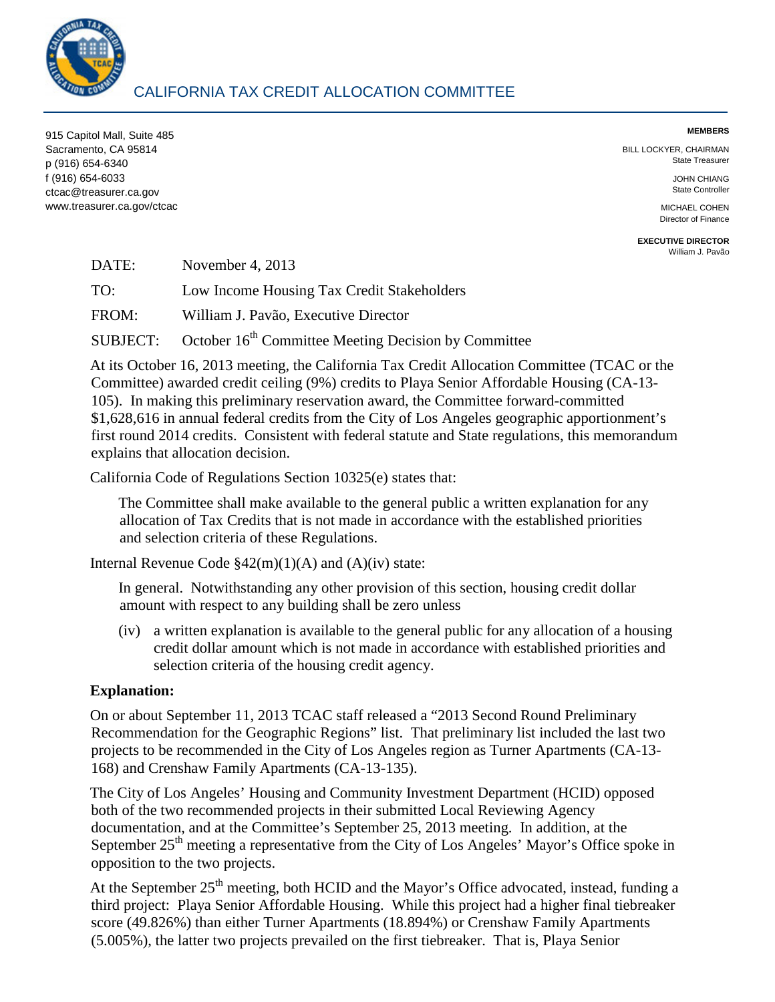

## CALIFORNIA TAX CREDIT ALLOCATION COMMITTEE

**MEMBERS** 915 Capitol Mall, Suite 485 Sacramento, CA 95814 BILL LOCKYER, CHAIRMAN<br>Case of the State State Treasurer (State Treasurer State Treasurer State Treasurer State Treasurer State Treasurer State Treasurer p (916) 654-6340 f (916) 654-6033 JOHN CHIANG<br>Carlos Carlos Carlos Carlos Carlos Carlos Carlos Carlos Carlos Carlos Carlos Carlos Carlos Carlos Carlos Carlos Carlos Carlos Carlos Carlos Carlos Carlos Carlos Carlos Carlos Carlos Carlos Carl ctcac@treasurer.ca.gov www.treasurer.ca.gov/ctcac

Director of Finance

**EXECUTIVE DIRECTOR**  [William J. Pavão](mailto:wpavao@treasurer.ca.gov) 

| DATE:    | November 4, $2013$                                               |
|----------|------------------------------------------------------------------|
| TO:      | Low Income Housing Tax Credit Stakeholders                       |
| FROM:    | William J. Pavão, Executive Director                             |
| SUBJECT: | October 16 <sup>th</sup> Committee Meeting Decision by Committee |

 Committee) awarded credit ceiling (9%) credits to Playa Senior Affordable Housing (CA-13 \$1,628,616 in annual federal credits from the City of Los Angeles geographic apportionment's At its October 16, 2013 meeting, the California Tax Credit Allocation Committee (TCAC or the 105). In making this preliminary reservation award, the Committee forward-committed first round 2014 credits. Consistent with federal statute and State regulations, this memorandum explains that allocation decision.

California Code of Regulations Section 10325(e) states that:

The Committee shall make available to the general public a written explanation for any allocation of Tax Credits that is not made in accordance with the established priorities and selection criteria of these Regulations.

Internal Revenue Code  $\frac{242(m)(1)(A)}{A}$  and  $(A)(iv)$  state:

In general. Notwithstanding any other provision of this section, housing credit dollar amount with respect to any building shall be zero unless

 (iv) a written explanation is available to the general public for any allocation of a housing credit dollar amount which is not made in accordance with established priorities and selection criteria of the housing credit agency.

## **Explanation:**

On or about September 11, 2013 TCAC staff released a "2013 Second Round Preliminary Recommendation for the Geographic Regions" list. That preliminary list included the last two projects to be recommended in the City of Los Angeles region as Turner Apartments (CA-13 168) and Crenshaw Family Apartments (CA-13-135).

 both of the two recommended projects in their submitted Local Reviewing Agency The City of Los Angeles' Housing and Community Investment Department (HCID) opposed documentation, and at the Committee's September 25, 2013 meeting. In addition, at the September 25<sup>th</sup> meeting a representative from the City of Los Angeles' Mayor's Office spoke in opposition to the two projects.

At the September  $25<sup>th</sup>$  meeting, both HCID and the Mayor's Office advocated, instead, funding a third project: Playa Senior Affordable Housing. While this project had a higher final tiebreaker score (49.826%) than either Turner Apartments (18.894%) or Crenshaw Family Apartments (5.005%), the latter two projects prevailed on the first tiebreaker. That is, Playa Senior